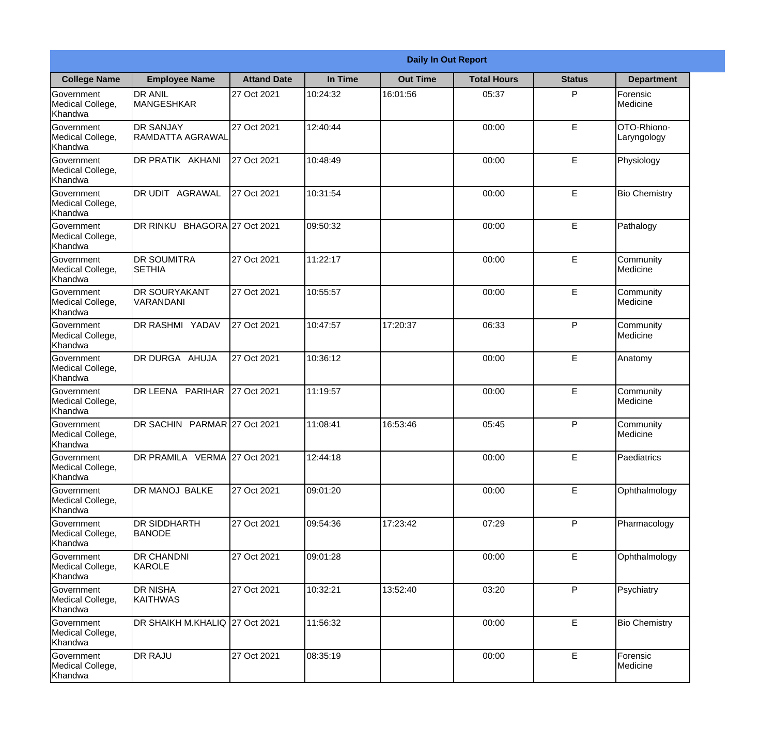|                                                  |                                      |                     |          | <b>Daily In Out Report</b> |                    |               |                            |
|--------------------------------------------------|--------------------------------------|---------------------|----------|----------------------------|--------------------|---------------|----------------------------|
| <b>College Name</b>                              | <b>Employee Name</b>                 | <b>Attand Date</b>  | In Time  | <b>Out Time</b>            | <b>Total Hours</b> | <b>Status</b> | <b>Department</b>          |
| Government<br>Medical College,<br>Khandwa        | <b>DR ANIL</b><br><b>MANGESHKAR</b>  | 27 Oct 2021         | 10:24:32 | 16:01:56                   | 05:37              | P             | Forensic<br>Medicine       |
| Government<br>Medical College,<br>Khandwa        | <b>DR SANJAY</b><br>RAMDATTA AGRAWAL | 27 Oct 2021         | 12:40:44 |                            | 00:00              | E             | OTO-Rhiono-<br>Laryngology |
| <b>Government</b><br>Medical College,<br>Khandwa | DR PRATIK AKHANI                     | 27 Oct 2021         | 10:48:49 |                            | 00:00              | E             | Physiology                 |
| Government<br>Medical College,<br>Khandwa        | <b>DR UDIT AGRAWAL</b>               | 27 Oct 2021         | 10:31:54 |                            | 00:00              | E             | <b>Bio Chemistry</b>       |
| Government<br>Medical College,<br>Khandwa        | DR RINKU                             | BHAGORA 27 Oct 2021 | 09:50:32 |                            | 00:00              | E             | Pathalogy                  |
| Government<br>Medical College,<br>Khandwa        | <b>DR SOUMITRA</b><br><b>SETHIA</b>  | 27 Oct 2021         | 11:22:17 |                            | 00:00              | E             | Community<br>Medicine      |
| Government<br>Medical College,<br>Khandwa        | <b>DR SOURYAKANT</b><br>VARANDANI    | 27 Oct 2021         | 10:55:57 |                            | 00:00              | E             | Community<br>Medicine      |
| <b>Government</b><br>Medical College,<br>Khandwa | <b>DR RASHMI YADAV</b>               | 27 Oct 2021         | 10:47:57 | 17:20:37                   | 06:33              | P             | Community<br>Medicine      |
| Government<br>Medical College,<br>Khandwa        | DR DURGA AHUJA                       | 27 Oct 2021         | 10:36:12 |                            | 00:00              | E             | Anatomy                    |
| Government<br>Medical College,<br>Khandwa        | DR LEENA PARIHAR                     | 27 Oct 2021         | 11:19:57 |                            | 00:00              | E             | Community<br>Medicine      |
| Government<br>Medical College,<br>Khandwa        | <b>DR SACHIN</b>                     | PARMAR 27 Oct 2021  | 11:08:41 | 16:53:46                   | 05:45              | $\mathsf{P}$  | Community<br>Medicine      |
| Government<br>Medical College,<br>Khandwa        | DR PRAMILA VERMA 27 Oct 2021         |                     | 12:44:18 |                            | 00:00              | E             | Paediatrics                |
| Government<br>Medical College,<br>Khandwa        | DR MANOJ BALKE                       | 27 Oct 2021         | 09:01:20 |                            | 00:00              | E             | Ophthalmology              |
| Government<br>Medical College,<br>Khandwa        | <b>DR SIDDHARTH</b><br><b>BANODE</b> | 27 Oct 2021         | 09:54:36 | 17:23:42                   | 07:29              | P             | Pharmacology               |
| Government<br>Medical College,<br>Khandwa        | <b>DR CHANDNI</b><br>KAROLE          | 27 Oct 2021         | 09:01:28 |                            | 00:00              | E             | Ophthalmology              |
| Government<br>Medical College,<br>Khandwa        | <b>DR NISHA</b><br><b>KAITHWAS</b>   | 27 Oct 2021         | 10:32:21 | 13:52:40                   | 03:20              | P             | Psychiatry                 |
| Government<br>Medical College,<br>Khandwa        | DR SHAIKH M.KHALIQ 27 Oct 2021       |                     | 11:56:32 |                            | 00:00              | E             | <b>Bio Chemistry</b>       |
| Government<br>Medical College,<br>Khandwa        | <b>DR RAJU</b>                       | 27 Oct 2021         | 08:35:19 |                            | 00:00              | E             | Forensic<br>Medicine       |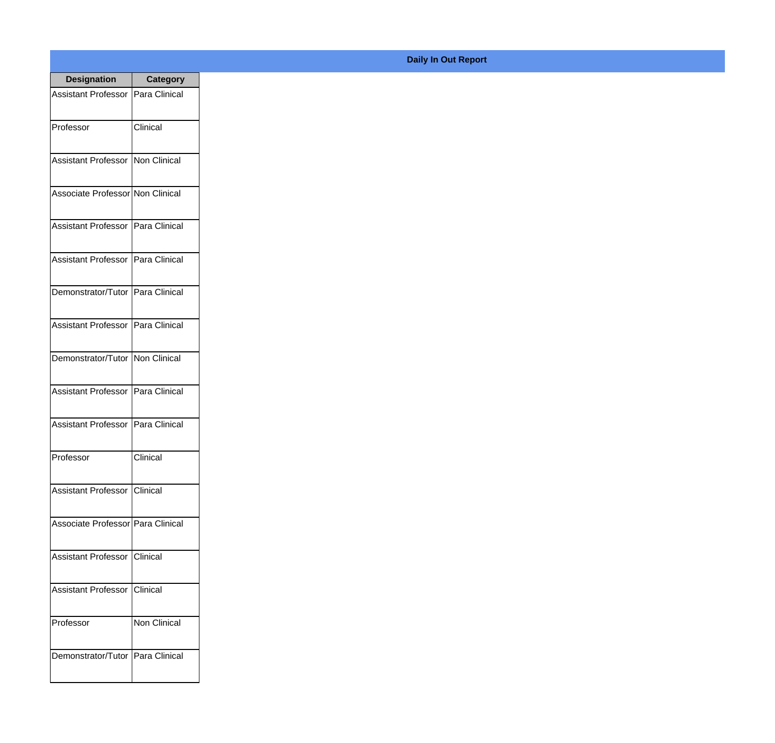| <b>Designation</b>                  | <b>Category</b> |
|-------------------------------------|-----------------|
| Assistant Professor   Para Clinical |                 |
| Professor                           | Clinical        |
| Assistant Professor   Non Clinical  |                 |
| Associate Professor Non Clinical    |                 |
| Assistant Professor   Para Clinical |                 |
| Assistant Professor   Para Clinical |                 |
| Demonstrator/Tutor   Para Clinical  |                 |
| Assistant Professor   Para Clinical |                 |
| Demonstrator/Tutor   Non Clinical   |                 |
| <b>Assistant Professor</b>          | Para Clinical   |
| Assistant Professor                 | Para Clinical   |
| Professor                           | Clinical        |
| Assistant Professor Clinical        |                 |
| Associate Professor Para Clinical   |                 |
| Assistant Professor                 | Clinical        |
| <b>Assistant Professor</b>          | Clinical        |
| Professor                           | Non Clinical    |
| Demonstrator/Tutor   Para Clinical  |                 |

## **Daily In Out Report**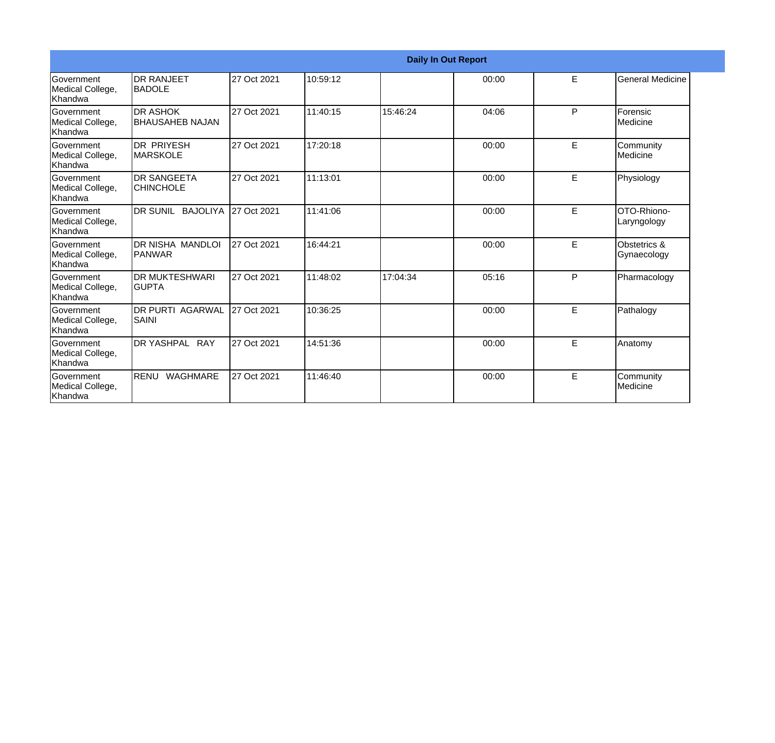|                                                         |                                           |             |          |          | <b>Daily In Out Report</b> |   |                             |
|---------------------------------------------------------|-------------------------------------------|-------------|----------|----------|----------------------------|---|-----------------------------|
| Government<br>Medical College,<br>Khandwa               | <b>IDR RANJEET</b><br><b>BADOLE</b>       | 27 Oct 2021 | 10:59:12 |          | 00:00                      | E | <b>General Medicine</b>     |
| Government<br>Medical College,<br>Khandwa               | <b>DR ASHOK</b><br><b>BHAUSAHEB NAJAN</b> | 27 Oct 2021 | 11:40:15 | 15:46:24 | 04:06                      | P | Forensic<br>Medicine        |
| <b>Government</b><br>Medical College,<br><b>Khandwa</b> | IDR PRIYESH<br><b>MARSKOLE</b>            | 27 Oct 2021 | 17:20:18 |          | 00:00                      | E | Community<br>Medicine       |
| Government<br>Medical College,<br>Khandwa               | <b>DR SANGEETA</b><br><b>CHINCHOLE</b>    | 27 Oct 2021 | 11:13:01 |          | 00:00                      | E | Physiology                  |
| Government<br>Medical College,<br>Khandwa               | DR SUNIL BAJOLIYA                         | 27 Oct 2021 | 11:41:06 |          | 00:00                      | E | OTO-Rhiono-<br>Laryngology  |
| Government<br>Medical College,<br>Khandwa               | DR NISHA MANDLOI<br><b>PANWAR</b>         | 27 Oct 2021 | 16:44:21 |          | 00:00                      | E | Obstetrics &<br>Gynaecology |
| Government<br>Medical College,<br><b>Khandwa</b>        | <b>DR MUKTESHWARI</b><br><b>GUPTA</b>     | 27 Oct 2021 | 11:48:02 | 17:04:34 | 05:16                      | P | Pharmacology                |
| Government<br>Medical College,<br><b>Khandwa</b>        | <b>DR PURTI AGARWAL</b><br><b>SAINI</b>   | 27 Oct 2021 | 10:36:25 |          | 00:00                      | E | Pathalogy                   |
| Government<br>Medical College,<br>Khandwa               | DR YASHPAL RAY                            | 27 Oct 2021 | 14:51:36 |          | 00:00                      | E | Anatomy                     |
| Government<br>Medical College,<br>Khandwa               | RENU WAGHMARE                             | 27 Oct 2021 | 11:46:40 |          | 00:00                      | E | Community<br>Medicine       |